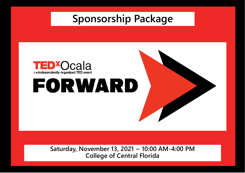## **Sponsorship Package**



**Saturday, November 13, 2021 ~ 10:00 AM-4:00 PM College of Central Florida**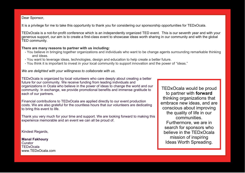Dear Sponsor,

It is a privilege for me to take this opportunity to thank you for considering our sponsorship opportunities for TEDxOcala.

TEDxOcala is a not-for-profit conference which is an independently organized TED event. This is our seventh year and with your generous support, our aim is to create a first-class event to showcase ideas worth sharing in our community and with the global TED community.

#### **There are many reasons to partner with us including:**

- You believe in bringing together organizations and individuals who want to be change agents surrounding remarkable thinking and ideas.
- You want to leverage ideas, technologies, design and education to help create a better future.
- You think it is important to invest in your local community to support innovation and the power of "ideas."

#### *We are delighted with your willingness to collaborate with us.*

TEDxOcala is organized by local volunteers who care deeply about creating a better future for our community. We receive funding from leading individuals and organizations in Ocala who believe in the power of ideas to change the world and our community. In exchange, we provide promotional benefits and immense gratitude to each of our partners.

Financial contributions to TEDxOcala are applied directly to our event production costs. We are also grateful for the countless hours that our volunteers are dedicating to bring this event to life.

Thank you very much for your time and support. We are looking forward to making this experience memorable and an event we can all be proud of.

Kindest Regards,

**Manal Fakhoury Curator** TEDxOcala www.TEDxOcala.com

TEDxOcala would be proud to partner with **forward**  thinking organizations that embrace new ideas, and are conscious about improving the quality of life in our communities. Furthermore, we are in search for sponsors who believe in the TEDxOcala mission of inspiring Ideas Worth Spreading.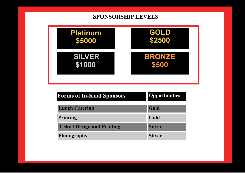### **SPONSORSHIP LEVELS**



| <b>Forms of In-Kind Sponsors</b>   | <b>Opportunities</b> |
|------------------------------------|----------------------|
| <b>Lunch Catering</b>              | Gold                 |
| Printing                           | Gold                 |
| <b>T-shirt Design and Printing</b> | <b>Silver</b>        |
| <b>Photography</b>                 | <b>Silver</b>        |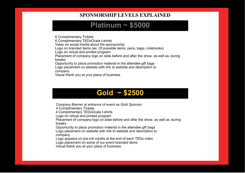#### **SPONSORSHIP LEVELS EXPLAINED**

## **Platinum ~ \$5000**

6 Complimentary Tickets 6 Complimentary TEDxOcala t-shirts Video on social media about the sponsorship Logo on branded items (ex. Of possible items: pens, bags, notebooks) Logo on virtual and printed program Placement of company logo on slide before and after the show, as well as during breaks Opportunity to place promotion material in the attendee gift bags Logo placement on website with link to website and description to company Visual thank you at your place of business



*Company Banner at entrance of event as Gold Sponsor*

*4* Complimentary Tickets

4 Complimentary TEDxOcala t-shirts

Logo on virtual and printed program

Placement of company logo on slide before and after the show, as well as during breaks

Opportunity to place promotion material in the attendee gift bags Logo placement on website with link to website and description to company

Logo appears on pre-roll credits at the end of each TEDx video

Logo placement on some of our event branded items

Visual thank you at your place of business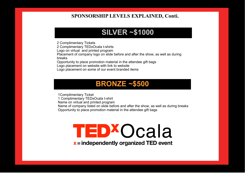#### **SPONSORSHIP LEVELS EXPLAINED, Conti.**

## **SILVER ~\$1000**

2 Complimentary Tickets 2 Complimentary TEDxOcala t-shirts Logo on virtual and printed program Placement of company logo on slide before and after the show, as well as during breaks Opportunity to place promotion material in the attendee gift bags Logo placement on website with link to website Logo placement on some of our event branded items

## **BRONZE ~\$500**

1Complimentary Ticket 1 Complimentary TEDxOcala t-shirt Name on virtual and printed program Name of company listed on slide before and after the show, as well as during breaks Opportunity to place promotion material in the attendee gift bags

# TED<sup>X</sup>Ocala

 $x =$  independently organized TED event